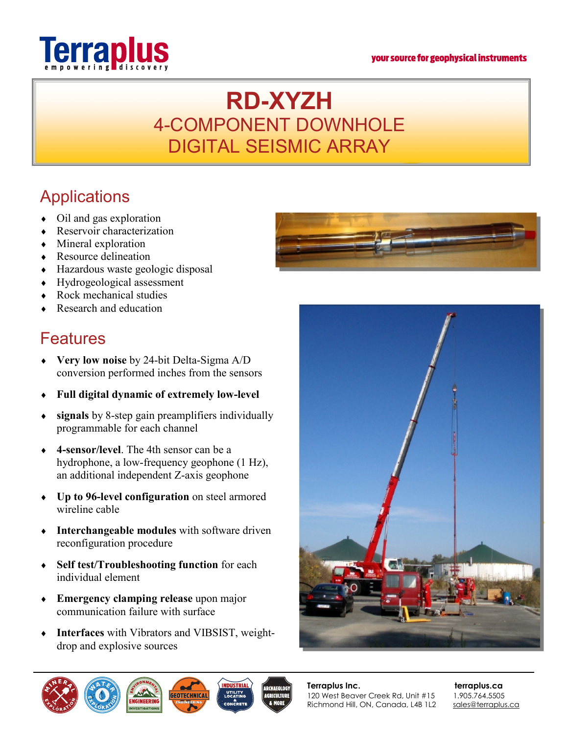#### your source for geophysical instruments



# **RD-XYZH**  4-COMPONENT DOWNHOLE DIGITAL SEISMIC ARRAY

## **Applications**

- Oil and gas exploration
- ® Reservoir characterization
- $\bullet$  Mineral exploration
- $\leftarrow$  Resource delineation
- ® Hazardous waste geologic disposal
- ® Hydrogeological assessment
- Rock mechanical studies
- $\bullet$  Research and education

### Features

- ® **Very low noise** by 24-bit Delta-Sigma A/D conversion performed inches from the sensors
- ® **Full digital dynamic of extremely low-level**
- ® **signals** by 8-step gain preamplifiers individually programmable for each channel
- ® **4-sensor/level**. The 4th sensor can be a hydrophone, a low-frequency geophone (1 Hz), an additional independent Z-axis geophone
- ® **Up to 96-level configuration** on steel armored wireline cable
- ® **Interchangeable modules** with software driven reconfiguration procedure
- ® **Self test/Troubleshooting function** for each individual element
- ® **Emergency clamping release** upon major communication failure with surface
- ® **Interfaces** with Vibrators and VIBSIST, weightdrop and explosive sources







**Terraplus Inc.** terraplus.ca 120 West Beaver Creek Rd, Unit #15 1.905.764.5505 Richmond Hill, ON, Canada, L4B 1L2 [sales@terraplus.ca](mailto:sales@terraplus.ca)